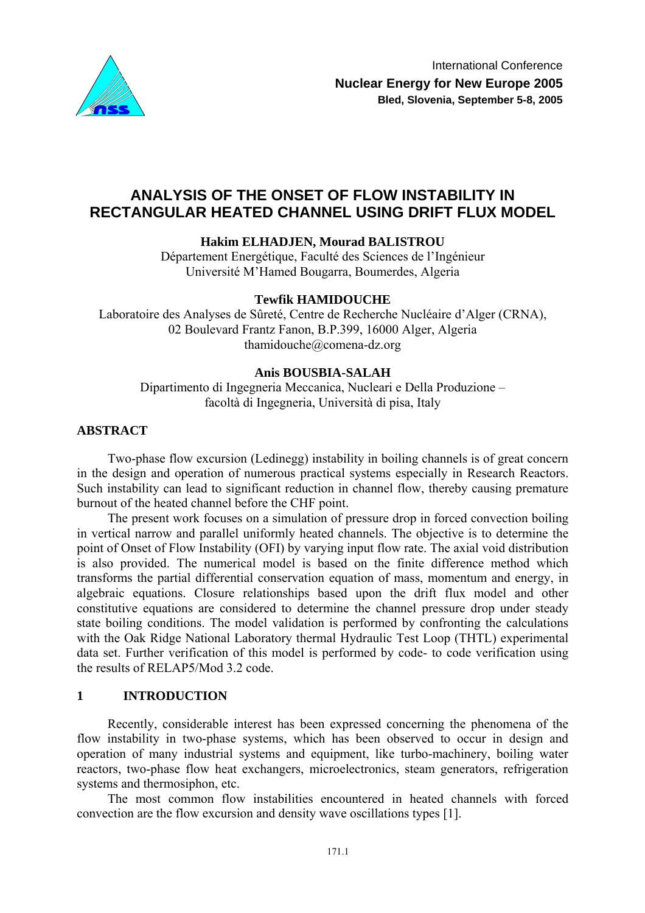

# **ANALYSIS OF THE ONSET OF FLOW INSTABILITY IN RECTANGULAR HEATED CHANNEL USING DRIFT FLUX MODEL**

**Hakim ELHADJEN, Mourad BALISTROU** 

Département Energétique, Faculté des Sciences de l'Ingénieur Université M'Hamed Bougarra, Boumerdes, Algeria

# **Tewfik HAMIDOUCHE**

Laboratoire des Analyses de Sûreté, Centre de Recherche Nucléaire d'Alger (CRNA), 02 Boulevard Frantz Fanon, B.P.399, 16000 Alger, Algeria thamidouche@comena-dz.org

# **Anis BOUSBIA-SALAH**

Dipartimento di Ingegneria Meccanica, Nucleari e Della Produzione – facoltà di Ingegneria, Università di pisa, Italy

# **ABSTRACT**

Two-phase flow excursion (Ledinegg) instability in boiling channels is of great concern in the design and operation of numerous practical systems especially in Research Reactors. Such instability can lead to significant reduction in channel flow, thereby causing premature burnout of the heated channel before the CHF point.

The present work focuses on a simulation of pressure drop in forced convection boiling in vertical narrow and parallel uniformly heated channels. The objective is to determine the point of Onset of Flow Instability (OFI) by varying input flow rate. The axial void distribution is also provided. The numerical model is based on the finite difference method which transforms the partial differential conservation equation of mass, momentum and energy, in algebraic equations. Closure relationships based upon the drift flux model and other constitutive equations are considered to determine the channel pressure drop under steady state boiling conditions. The model validation is performed by confronting the calculations with the Oak Ridge National Laboratory thermal Hydraulic Test Loop (THTL) experimental data set. Further verification of this model is performed by code- to code verification using the results of RELAP5/Mod 3.2 code.

# **1 INTRODUCTION**

Recently, considerable interest has been expressed concerning the phenomena of the flow instability in two-phase systems, which has been observed to occur in design and operation of many industrial systems and equipment, like turbo-machinery, boiling water reactors, two-phase flow heat exchangers, microelectronics, steam generators, refrigeration systems and thermosiphon, etc.

The most common flow instabilities encountered in heated channels with forced convection are the flow excursion and density wave oscillations types [1].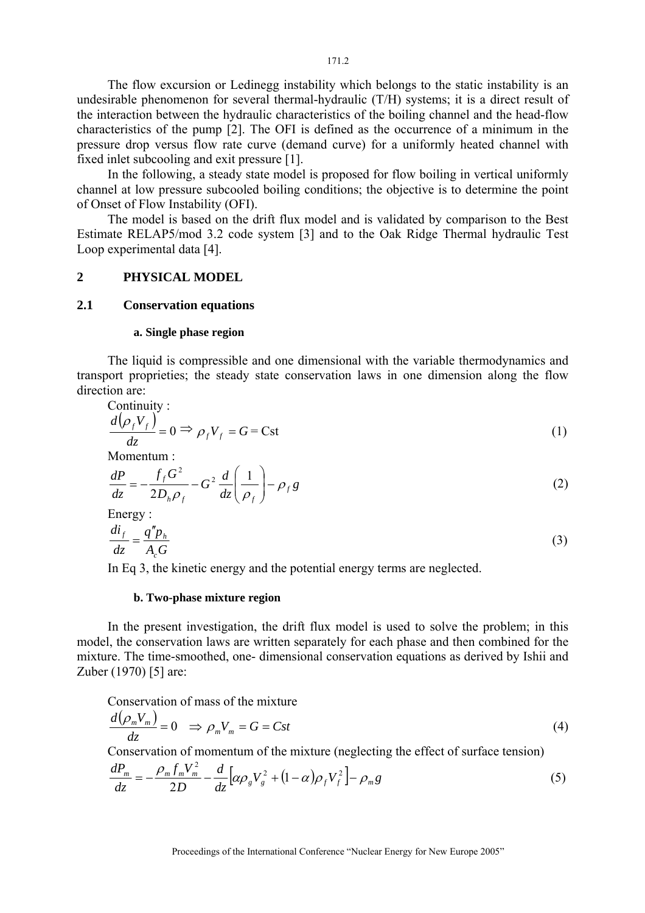The flow excursion or Ledinegg instability which belongs to the static instability is an undesirable phenomenon for several thermal-hydraulic (T/H) systems; it is a direct result of the interaction between the hydraulic characteristics of the boiling channel and the head-flow characteristics of the pump [2]. The OFI is defined as the occurrence of a minimum in the pressure drop versus flow rate curve (demand curve) for a uniformly heated channel with fixed inlet subcooling and exit pressure [1].

In the following, a steady state model is proposed for flow boiling in vertical uniformly channel at low pressure subcooled boiling conditions; the objective is to determine the point of Onset of Flow Instability (OFI).

The model is based on the drift flux model and is validated by comparison to the Best Estimate RELAP5/mod 3.2 code system [3] and to the Oak Ridge Thermal hydraulic Test Loop experimental data [4].

#### **2 PHYSICAL MODEL**

### **2.1 Conservation equations**

#### **a. Single phase region**

The liquid is compressible and one dimensional with the variable thermodynamics and transport proprieties; the steady state conservation laws in one dimension along the flow direction are:

Continuity :  
\n
$$
\frac{d(\rho_f V_f)}{dz} = 0 \implies \rho_f V_f = G = \text{Cst}
$$
\n  
\nMomentum : (1)

$$
\frac{dP}{dz} = -\frac{f_f G^2}{2D_h \rho_f} - G^2 \frac{d}{dz} \left(\frac{1}{\rho_f}\right) - \rho_f g \tag{2}
$$

Energy :  
\n
$$
\frac{di_f}{dz} = \frac{q''p_h}{A_cG}
$$
\n(3)

In Eq 3, the kinetic energy and the potential energy terms are neglected.

#### **b. Two-phase mixture region**

In the present investigation, the drift flux model is used to solve the problem; in this model, the conservation laws are written separately for each phase and then combined for the mixture. The time-smoothed, one- dimensional conservation equations as derived by Ishii and Zuber (1970) [5] are:

Conservation of mass of the mixture

$$
\frac{d(\rho_m V_m)}{dz} = 0 \quad \Rightarrow \rho_m V_m = G = Cst \tag{4}
$$

Conservation of momentum of the mixture (neglecting the effect of surface tension)

$$
\frac{dP_m}{dz} = -\frac{\rho_m f_m V_m^2}{2D} - \frac{d}{dz} \left[ \alpha \rho_g V_g^2 + (1 - \alpha) \rho_f V_f^2 \right] - \rho_m g \tag{5}
$$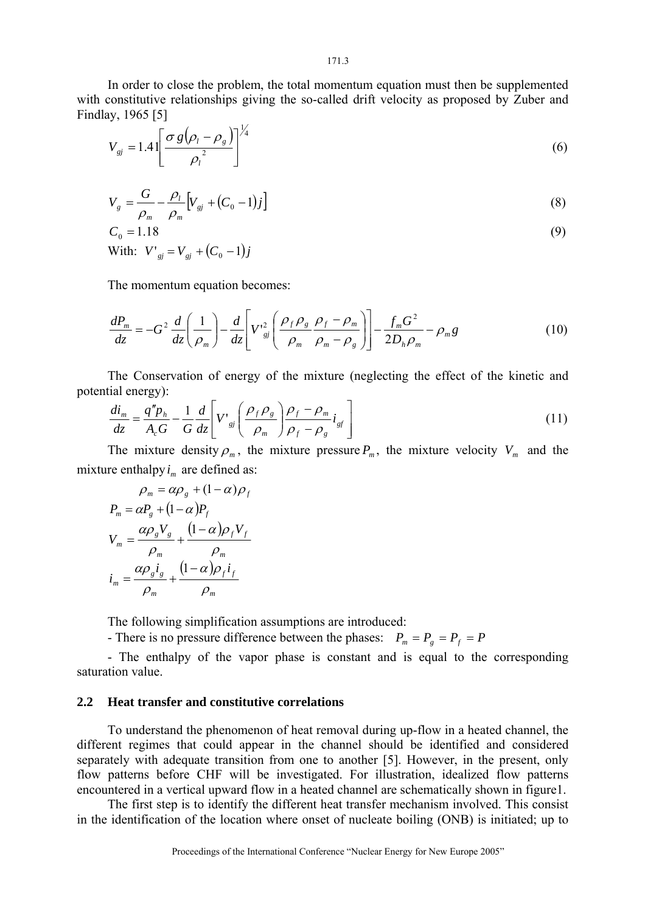In order to close the problem, the total momentum equation must then be supplemented with constitutive relationships giving the so-called drift velocity as proposed by Zuber and Findlay, 1965 [5]

$$
V_{gi} = 1.4 \left[ \frac{\sigma g \left( \rho_l - \rho_g \right)}{\rho_l^2} \right]^{1/4} \tag{6}
$$

$$
V_{g} = \frac{G}{\rho_{m}} - \frac{\rho_{l}}{\rho_{m}} \Big[ V_{gj} + (C_{0} - 1)j \Big]
$$
 (8)

$$
C_0 = 1.18
$$
  
With:  $V'_{gi} = V_{gi} + (C_0 - 1)j$  (9)

The momentum equation becomes:

$$
\frac{dP_m}{dz} = -G^2 \frac{d}{dz} \left( \frac{1}{\rho_m} \right) - \frac{d}{dz} \left[ V^2_{gi} \left( \frac{\rho_f \rho_g}{\rho_m} \frac{\rho_f - \rho_m}{\rho_m - \rho_g} \right) \right] - \frac{f_m G^2}{2D_h \rho_m} - \rho_m g \tag{10}
$$

The Conservation of energy of the mixture (neglecting the effect of the kinetic and potential energy):

$$
\frac{di_m}{dz} = \frac{q''p_h}{A_cG} - \frac{1}{G}\frac{d}{dz}\left[V'_{sj}\left(\frac{\rho_f \rho_s}{\rho_m}\right)\frac{\rho_f - \rho_m}{\rho_f - \rho_s}i_{sf}\right]
$$
\n(11)

The mixture density  $\rho_m$ , the mixture pressure  $P_m$ , the mixture velocity  $V_m$  and the mixture enthalpy  $i_m$  are defined as:

$$
\rho_m = \alpha \rho_g + (1 - \alpha) \rho_f
$$
  
\n
$$
P_m = \alpha P_g + (1 - \alpha) P_f
$$
  
\n
$$
V_m = \frac{\alpha \rho_g V_g}{\rho_m} + \frac{(1 - \alpha) \rho_f V_f}{\rho_m}
$$
  
\n
$$
i_m = \frac{\alpha \rho_g i_g}{\rho_m} + \frac{(1 - \alpha) \rho_f i_f}{\rho_m}
$$

The following simplification assumptions are introduced:

- There is no pressure difference between the phases:  $P_m = P_g = P_f = P$ 

- The enthalpy of the vapor phase is constant and is equal to the corresponding saturation value.

### **2.2 Heat transfer and constitutive correlations**

To understand the phenomenon of heat removal during up-flow in a heated channel, the different regimes that could appear in the channel should be identified and considered separately with adequate transition from one to another [5]. However, in the present, only flow patterns before CHF will be investigated. For illustration, idealized flow patterns encountered in a vertical upward flow in a heated channel are schematically shown in figure1.

The first step is to identify the different heat transfer mechanism involved. This consist in the identification of the location where onset of nucleate boiling (ONB) is initiated; up to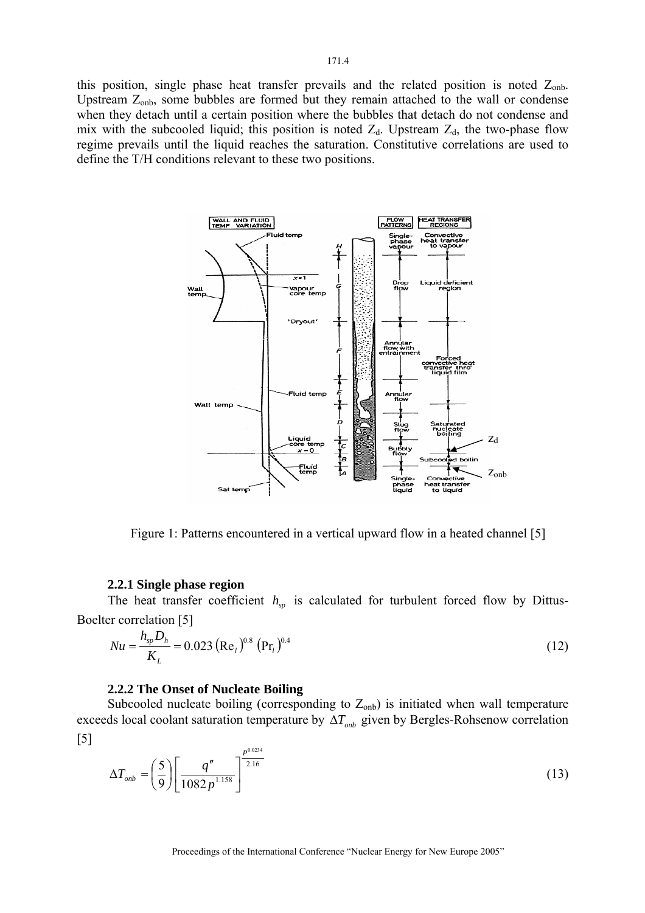this position, single phase heat transfer prevails and the related position is noted  $Z_{\text{onb}}$ . Upstream  $Z_{\text{onb}}$ , some bubbles are formed but they remain attached to the wall or condense when they detach until a certain position where the bubbles that detach do not condense and mix with the subcooled liquid; this position is noted  $Z_d$ . Upstream  $Z_d$ , the two-phase flow regime prevails until the liquid reaches the saturation. Constitutive correlations are used to define the T/H conditions relevant to these two positions.



Figure 1: Patterns encountered in a vertical upward flow in a heated channel [5]

#### **2.2.1 Single phase region**

The heat transfer coefficient  $h_{sp}$  is calculated for turbulent forced flow by Dittus-Boelter correlation [5]

$$
Nu = \frac{h_{sp}D_h}{K_L} = 0.023 \left(\text{Re}_l\right)^{0.8} \left(\text{Pr}_l\right)^{0.4} \tag{12}
$$

#### **2.2.2 The Onset of Nucleate Boiling**

Subcooled nucleate boiling (corresponding to  $Z_{\text{onb}}$ ) is initiated when wall temperature exceeds local coolant saturation temperature by ∆*Tonb* given by Bergles-Rohsenow correlation [5]

$$
\Delta T_{\text{onb}} = \left(\frac{5}{9}\right) \left[ \frac{q''}{1082 p^{1.158}} \right]^{\frac{p^{0.0234}}{2.16}} \tag{13}
$$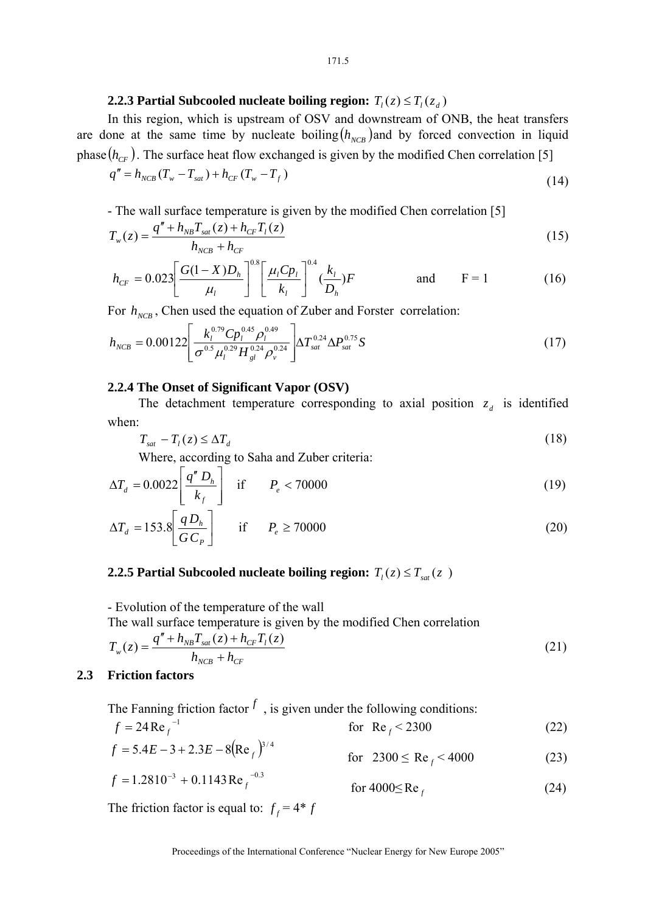# **2.2.3 Partial Subcooled nucleate boiling region:**  $T_i(z) \leq T_i(z_d)$

In this region, which is upstream of OSV and downstream of ONB, the heat transfers are done at the same time by nucleate boiling  $(h_{NCR})$  and by forced convection in liquid phase  $(h_{CF})$ . The surface heat flow exchanged is given by the modified Chen correlation [5]

$$
q'' = h_{NCB}(T_w - T_{sat}) + h_{CF}(T_w - T_f)
$$
\n(14)

# - The wall surface temperature is given by the modified Chen correlation [5]

$$
T_w(z) = \frac{q'' + h_{NB}T_{sat}(z) + h_{CF}T_l(z)}{h_{NCB} + h_{CF}}
$$
\n(15)

$$
h_{CF} = 0.023 \left[ \frac{G(1-X)D_h}{\mu_l} \right]^{0.8} \left[ \frac{\mu_l C p_l}{k_l} \right]^{0.4} \left( \frac{k_l}{D_h} \right) F \qquad \text{and} \qquad F = 1 \qquad (16)
$$

For  $h_{NCB}$ , Chen used the equation of Zuber and Forster correlation:

$$
h_{NCB} = 0.00122 \left[ \frac{k_l^{0.79} C p_l^{0.45} \rho_l^{0.49}}{\sigma^{0.5} \mu_l^{0.29} H_{gl}^{0.24} \rho_v^{0.24}} \right] \Delta T_{sat}^{0.24} \Delta P_{sat}^{0.75} S
$$
 (17)

#### **2.2.4 The Onset of Significant Vapor (OSV)**

The detachment temperature corresponding to axial position  $z_d$  is identified when:

$$
T_{sat} - T_l(z) \leq \Delta T_d \tag{18}
$$

Where, according to Saha and Zuber criteria:

$$
\Delta T_d = 0.0022 \left[ \frac{q'' D_h}{k_f} \right] \quad \text{if} \quad P_e < 70000 \tag{19}
$$

$$
\Delta T_d = 153.8 \left[ \frac{q D_h}{G C_P} \right] \quad \text{if} \quad P_e \ge 70000 \tag{20}
$$

### **2.2.5 Partial Subcooled nucleate boiling region:**  $T_l(z) \leq T_{sat}(z)$

- Evolution of the temperature of the wall The wall surface temperature is given by the modified Chen correlation

$$
T_w(z) = \frac{q'' + h_{NB}T_{sat}(z) + h_{CF}T_l(z)}{h_{NCB} + h_{CF}}
$$
(21)

### **2.3 Friction factors**

The Fanning friction factor  $f$ , is given under the following conditions:<br> $f = 24 \text{Re}^{f}$   $f = 24 \text{Re}^{f}$ 

for Re  $_f$  < 2300 (22)

$$
f = 5.4E - 3 + 2.3E - 8(\text{Re}_f)^{3/4} \qquad \qquad \text{for} \quad 2300 \le \text{Re}_f < 4000 \tag{23}
$$

$$
f = 1.2810^{-3} + 0.1143 \text{Re}_f^{-0.3} \qquad \text{for } 4000 \le \text{Re}_f \tag{24}
$$

The friction factor is equal to:  $f_f = 4 * f$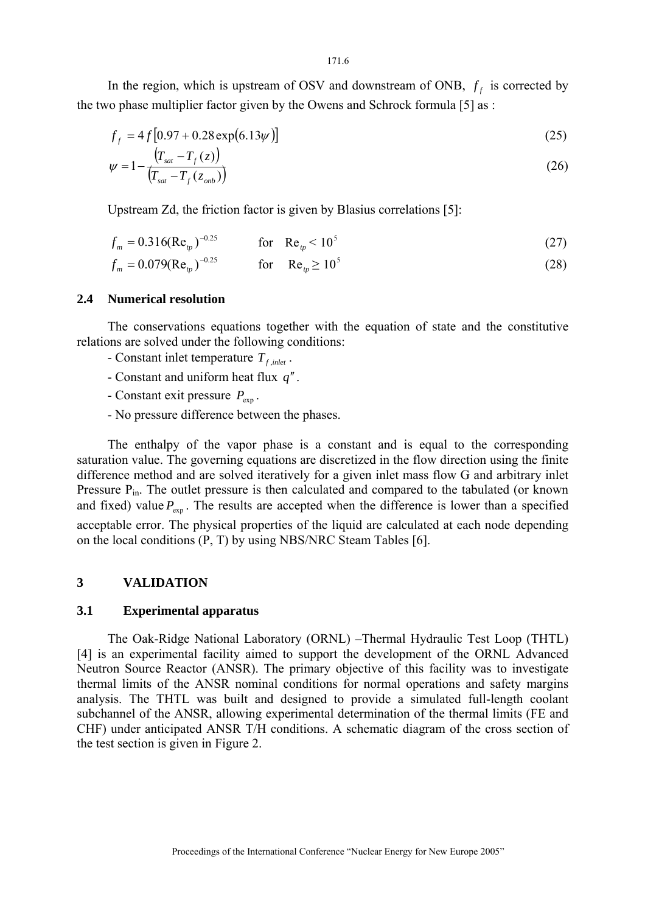In the region, which is upstream of OSV and downstream of ONB,  $f_f$  is corrected by the two phase multiplier factor given by the Owens and Schrock formula [5] as :

$$
f_f = 4f[0.97 + 0.28 \exp(6.13\psi)]
$$
\n(25)

$$
\psi = 1 - \frac{\left(T_{sat} - T_f(z)\right)}{\left(T_{sat} - T_f(z_{omb})\right)}
$$
(26)

Upstream Zd, the friction factor is given by Blasius correlations [5]:

$$
f_m = 0.316(\text{Re}_p)^{-0.25} \qquad \text{for} \quad \text{Re}_p < 10^5 \tag{27}
$$

$$
f_m = 0.079(\text{Re}_p)^{-0.25} \qquad \text{for} \quad \text{Re}_p \ge 10^5 \tag{28}
$$

### **2.4 Numerical resolution**

The conservations equations together with the equation of state and the constitutive relations are solved under the following conditions:

- Constant inlet temperature  $T_{f\text{ inlet}}$ .
- Constant and uniform heat flux *q*′′.
- Constant exit pressure  $P_{\text{exp}}$ .
- No pressure difference between the phases.

The enthalpy of the vapor phase is a constant and is equal to the corresponding saturation value. The governing equations are discretized in the flow direction using the finite difference method and are solved iteratively for a given inlet mass flow G and arbitrary inlet Pressure P<sub>in</sub>. The outlet pressure is then calculated and compared to the tabulated (or known and fixed) value  $P_{\text{exp}}$ . The results are accepted when the difference is lower than a specified acceptable error. The physical properties of the liquid are calculated at each node depending on the local conditions (P, T) by using NBS/NRC Steam Tables [6].

### **3 VALIDATION**

### **3.1 Experimental apparatus**

The Oak-Ridge National Laboratory (ORNL) –Thermal Hydraulic Test Loop (THTL) [4] is an experimental facility aimed to support the development of the ORNL Advanced Neutron Source Reactor (ANSR). The primary objective of this facility was to investigate thermal limits of the ANSR nominal conditions for normal operations and safety margins analysis. The THTL was built and designed to provide a simulated full-length coolant subchannel of the ANSR, allowing experimental determination of the thermal limits (FE and CHF) under anticipated ANSR T/H conditions. A schematic diagram of the cross section of the test section is given in Figure 2.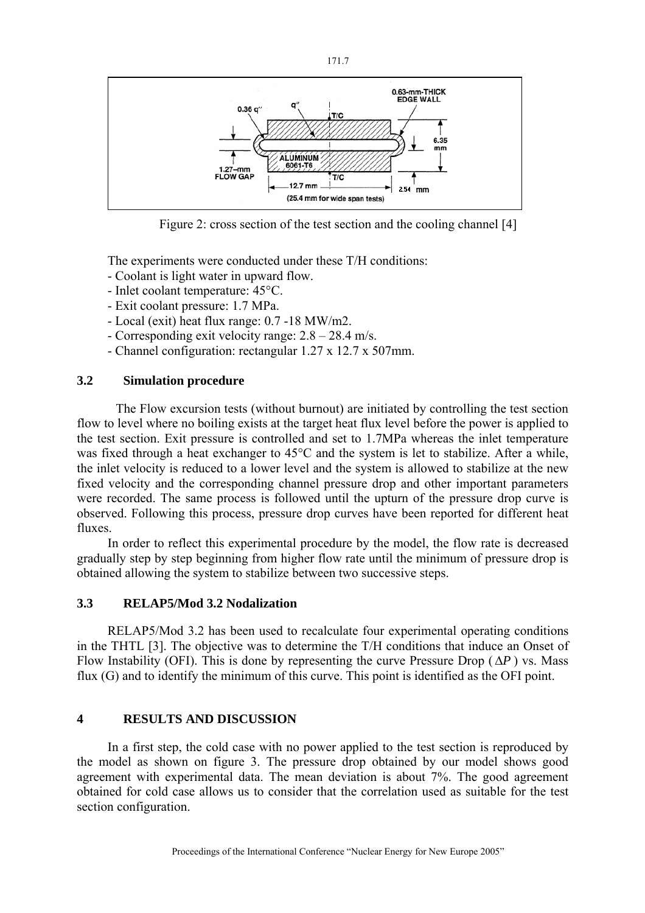

Figure 2: cross section of the test section and the cooling channel [4]

The experiments were conducted under these T/H conditions:

- Coolant is light water in upward flow.
- Inlet coolant temperature: 45°C.
- Exit coolant pressure: 1.7 MPa.
- Local (exit) heat flux range: 0.7 -18 MW/m2.
- Corresponding exit velocity range: 2.8 28.4 m/s.
- Channel configuration: rectangular 1.27 x 12.7 x 507mm.

# **3.2 Simulation procedure**

The Flow excursion tests (without burnout) are initiated by controlling the test section flow to level where no boiling exists at the target heat flux level before the power is applied to the test section. Exit pressure is controlled and set to 1.7MPa whereas the inlet temperature was fixed through a heat exchanger to 45°C and the system is let to stabilize. After a while, the inlet velocity is reduced to a lower level and the system is allowed to stabilize at the new fixed velocity and the corresponding channel pressure drop and other important parameters were recorded. The same process is followed until the upturn of the pressure drop curve is observed. Following this process, pressure drop curves have been reported for different heat fluxes.

In order to reflect this experimental procedure by the model, the flow rate is decreased gradually step by step beginning from higher flow rate until the minimum of pressure drop is obtained allowing the system to stabilize between two successive steps.

# **3.3 RELAP5/Mod 3.2 Nodalization**

RELAP5/Mod 3.2 has been used to recalculate four experimental operating conditions in the THTL [3]. The objective was to determine the T/H conditions that induce an Onset of Flow Instability (OFI). This is done by representing the curve Pressure Drop  $(\Delta P)$  vs. Mass flux (G) and to identify the minimum of this curve. This point is identified as the OFI point.

# **4 RESULTS AND DISCUSSION**

In a first step, the cold case with no power applied to the test section is reproduced by the model as shown on figure 3. The pressure drop obtained by our model shows good agreement with experimental data. The mean deviation is about 7%. The good agreement obtained for cold case allows us to consider that the correlation used as suitable for the test section configuration.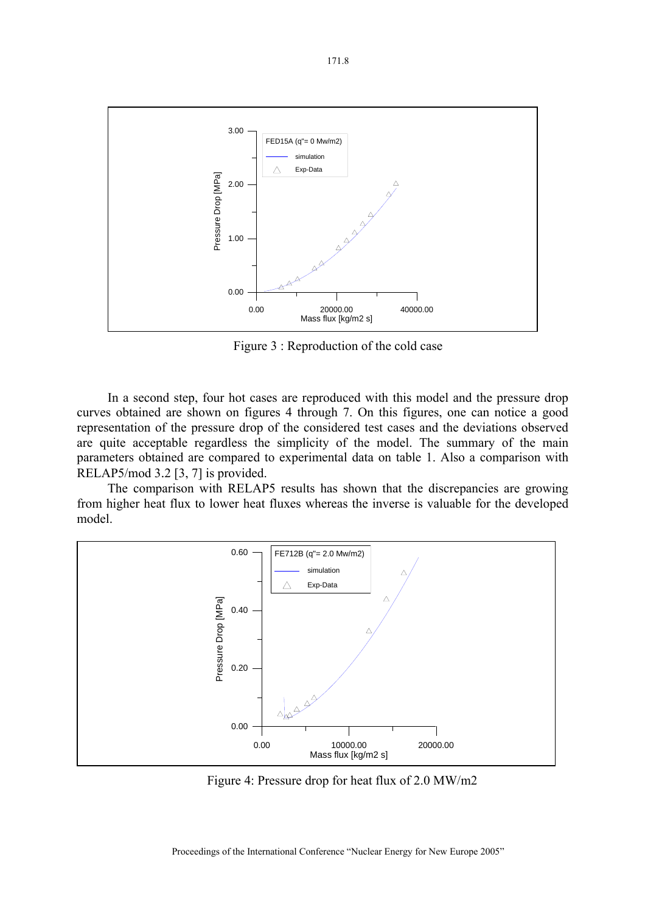

Figure 3 : Reproduction of the cold case

In a second step, four hot cases are reproduced with this model and the pressure drop curves obtained are shown on figures 4 through 7. On this figures, one can notice a good representation of the pressure drop of the considered test cases and the deviations observed are quite acceptable regardless the simplicity of the model. The summary of the main parameters obtained are compared to experimental data on table 1. Also a comparison with RELAP5/mod 3.2 [3, 7] is provided.

The comparison with RELAP5 results has shown that the discrepancies are growing from higher heat flux to lower heat fluxes whereas the inverse is valuable for the developed model.



Figure 4: Pressure drop for heat flux of 2.0 MW/m2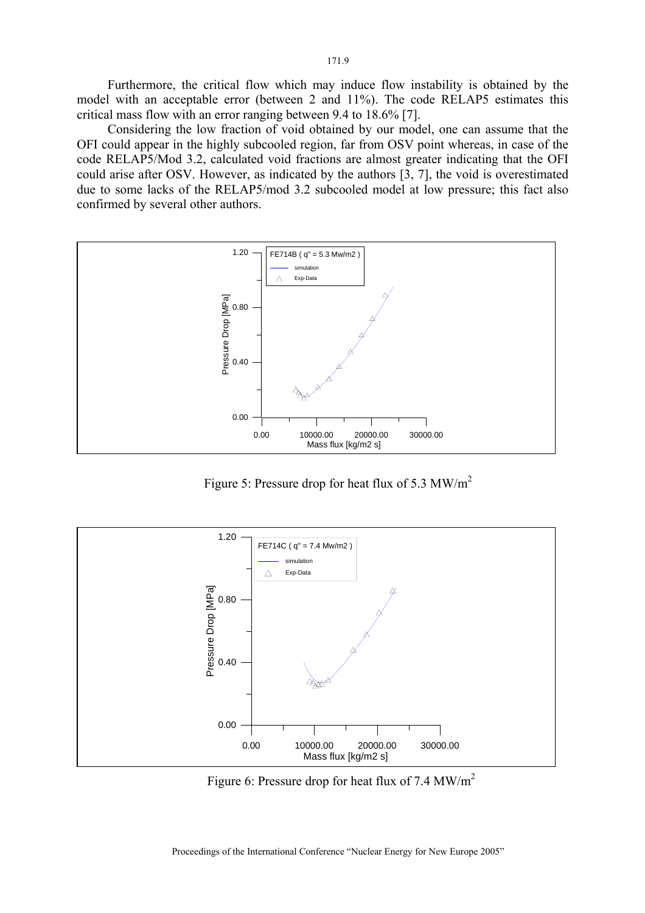Furthermore, the critical flow which may induce flow instability is obtained by the model with an acceptable error (between 2 and 11%). The code RELAP5 estimates this critical mass flow with an error ranging between 9.4 to 18.6% [7].

Considering the low fraction of void obtained by our model, one can assume that the OFI could appear in the highly subcooled region, far from OSV point whereas, in case of the code RELAP5/Mod 3.2, calculated void fractions are almost greater indicating that the OFI could arise after OSV. However, as indicated by the authors [3, 7], the void is overestimated due to some lacks of the RELAP5/mod 3.2 subcooled model at low pressure; this fact also confirmed by several other authors.



Figure 5: Pressure drop for heat flux of 5.3 MW/ $m^2$ 



Figure 6: Pressure drop for heat flux of 7.4 MW/ $m^2$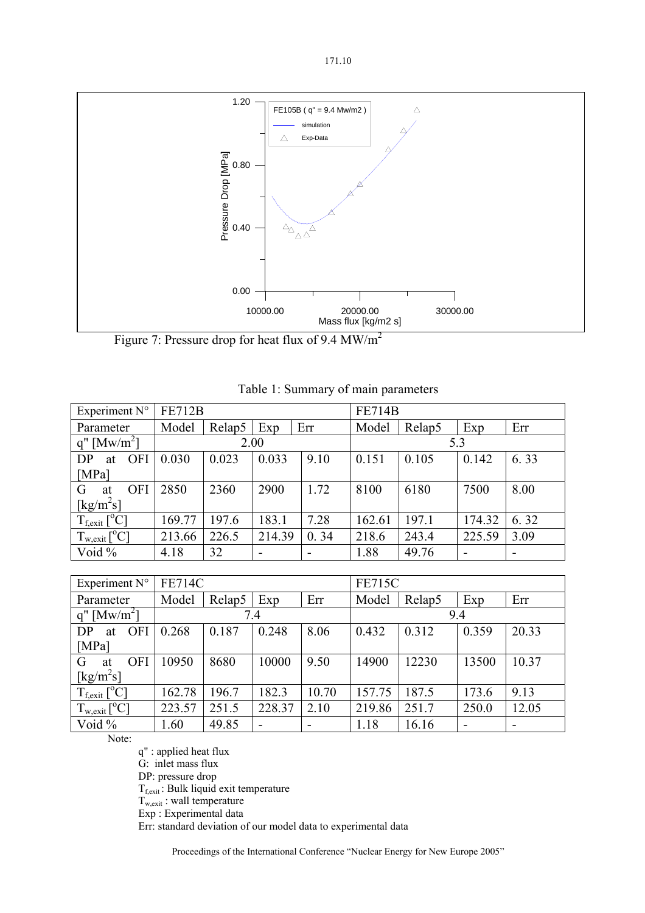

Figure 7: Pressure drop for heat flux of 9.4 MW/m<sup>2</sup>

| Experiment N°                        | <b>FE712B</b> |        |                          |      | <b>FE714B</b> |        |        |      |
|--------------------------------------|---------------|--------|--------------------------|------|---------------|--------|--------|------|
| Parameter                            | Model         | Relap5 | Exp                      | Err  | Model         | Relap5 | Exp    | Err  |
| $q''$ [Mw/m <sup>2</sup> ]           | 2.00          |        |                          |      | 5.3           |        |        |      |
| <b>OFI</b><br>DP<br>at               | 0.030         | 0.023  | 0.033                    | 9.10 | 0.151         | 0.105  | 0.142  | 6.33 |
| [MPa]                                |               |        |                          |      |               |        |        |      |
| <b>OFI</b><br>G<br>at                | 2850          | 2360   | 2900                     | 1.72 | 8100          | 6180   | 7500   | 8.00 |
| $\left[\text{kg/m}^2\text{s}\right]$ |               |        |                          |      |               |        |        |      |
| $T_{f, exit} [^{\circ}C]$            | 169.77        | 197.6  | 183.1                    | 7.28 | 162.61        | 197.1  | 174.32 | 6.32 |
| $T_{w, exit} [^{\circ}C]$            | 213.66        | 226.5  | 214.39                   | 0.34 | 218.6         | 243.4  | 225.59 | 3.09 |
| Void %                               | 4.18          | 32     | $\overline{\phantom{0}}$ |      | 1.88          | 49.76  |        |      |

|  | Table 1: Summary of main parameters |
|--|-------------------------------------|
|  |                                     |

| Experiment N°                   | <b>FE714C</b> |        |        |       | <b>FE715C</b> |        |       |       |
|---------------------------------|---------------|--------|--------|-------|---------------|--------|-------|-------|
| Parameter                       | Model         | Relap5 | Exp    | Err   | Model         | Relap5 | Exp   | Err   |
| $q''$ [Mw/m <sup>2</sup> ]      | 7.4           |        |        | 9.4   |               |        |       |       |
| <b>OFI</b><br>DP<br>at          | 0.268         | 0.187  | 0.248  | 8.06  | 0.432         | 0.312  | 0.359 | 20.33 |
| [MPa]                           |               |        |        |       |               |        |       |       |
| <b>OFI</b><br>G<br>at           | 10950         | 8680   | 10000  | 9.50  | 14900         | 12230  | 13500 | 10.37 |
| $\left[\mathrm{kg/m^2s}\right]$ |               |        |        |       |               |        |       |       |
| $T_{f, exit} [^{\circ}C]$       | 162.78        | 196.7  | 182.3  | 10.70 | 157.75        | 187.5  | 173.6 | 9.13  |
| $T_{w, exit} [^{\circ}C]$       | 223.57        | 251.5  | 228.37 | 2.10  | 219.86        | 251.7  | 250.0 | 12.05 |
| Void %                          | 1.60          | 49.85  | -      |       | 1.18          | 16.16  |       |       |

Note:

q" : applied heat flux

G: inlet mass flux

DP: pressure drop

 $T_{f, exit}$ : Bulk liquid exit temperature

 $T_{w, exit}$ : wall temperature

Exp : Experimental data

Err: standard deviation of our model data to experimental data

Proceedings of the International Conference "Nuclear Energy for New Europe 2005"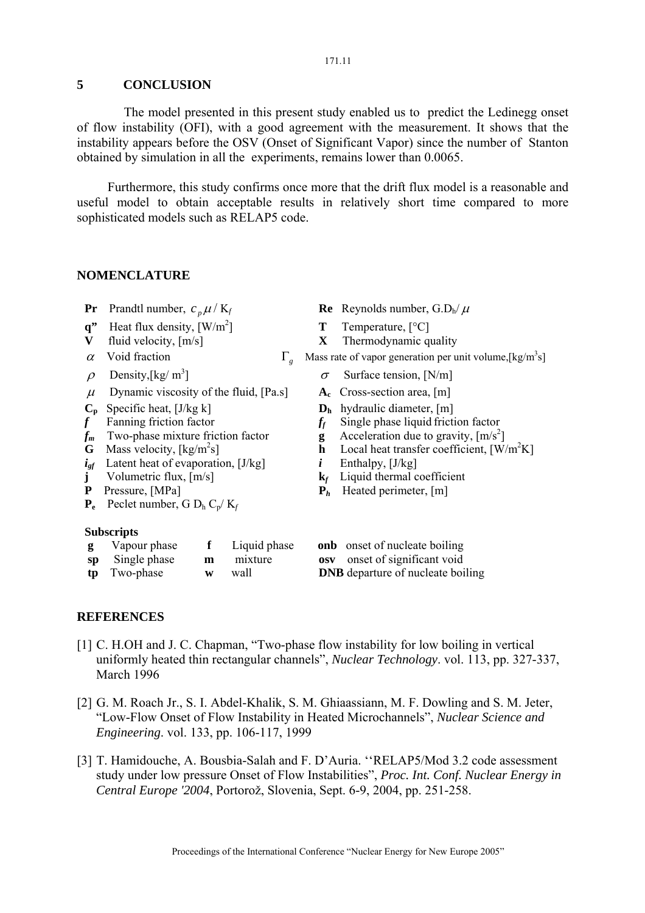#### 171.11

### **5 CONCLUSION**

 The model presented in this present study enabled us to predict the Ledinegg onset of flow instability (OFI), with a good agreement with the measurement. It shows that the instability appears before the OSV (Onset of Significant Vapor) since the number of Stanton obtained by simulation in all the experiments, remains lower than 0.0065.

Furthermore, this study confirms once more that the drift flux model is a reasonable and useful model to obtain acceptable results in relatively short time compared to more sophisticated models such as RELAP5 code.

#### **NOMENCLATURE**

- 
- **q**" Heat flux density,  $\left[W/m^2\right]$
- 
- 
- $\rho$  Density, [kg/ m<sup>3</sup>]
- $\mu$  Dynamic viscosity of the fluid, [Pa.s]  $A_c$  Cross-section area, [m]
- 
- 
- $f_m$  Two-phase mixture friction factor **g**<br>**G** Mass velocity, [kg/m<sup>2</sup>s] **h**
- **G** Mass velocity,  $\lceil \text{kg/m}^2 \text{s} \rceil$
- *igf* Latent heat of evaporation, [J/kg] *i* Enthalpy, [J/kg] **j** Volumetric flux,  $[m/s]$  **k**<sub>f</sub> Liquid thermal c
- 
- 
- $P_e$  Peclet number, G  $D_h C_p/K_f$

#### **Subscripts**

| <b>g</b> Vapour phase | Liquid phase     | <b>onb</b> onset of nucleate boiling     |
|-----------------------|------------------|------------------------------------------|
| sp Single phase       | <b>m</b> mixture | <b>osy</b> onset of significant void     |
| <b>tp</b> Two-phase   | w wall           | <b>DNB</b> departure of nucleate boiling |

- **Pr** Prandtl number,  $c_n \mu / K_f$  **Re** Reynolds number,  $G.D_h/\mu$ 
	- ] **T** Temperature, [°C]
- **V** fluid velocity,  $[m/s]$  **X** Thermodynamic quality
- *α* Void fraction  $\Gamma_g$  Mass rate of vapor generation per unit volume, [kg/m<sup>3</sup>s]
	- $\sigma$  Surface tension, [N/m]
	-
	-
- $\mathbf{C_p}$  Specific heat,  $[J/kg \text{ k}]$ <br> **D<sub>h</sub>** hydraulic diameter,  $[m]$ <br> **C**<sub>f</sub> Single phase liquid friction  $f$  **Fanning friction factor**  $f$  **Single phase liquid friction factor** 
	- Acceleration due to gravity,  $\lceil m/s^2 \rceil$
	- $\mathbf{h}$  Local heat transfer coefficient,  $\left[\text{W/m}^2\text{K}\right]$ 
		-
- **j** Volumetric flux, [m/s] **k***f* Liquid thermal coefficient
- **P** Pressure, [MPa] **P**<sub>h</sub> Heated perimeter, [m]
	- **g onb** onset of nucleate boiling
	- **space** of significant void
	-

### **REFERENCES**

- [1] C. H.OH and J. C. Chapman, "Two-phase flow instability for low boiling in vertical uniformly heated thin rectangular channels", *Nuclear Technology*. vol. 113, pp. 327-337, March 1996
- [2] G. M. Roach Jr., S. I. Abdel-Khalik, S. M. Ghiaassiann, M. F. Dowling and S. M. Jeter, "Low-Flow Onset of Flow Instability in Heated Microchannels", *Nuclear Science and Engineering*. vol. 133, pp. 106-117, 1999
- [3] T. Hamidouche, A. Bousbia-Salah and F. D'Auria. ''RELAP5/Mod 3.2 code assessment study under low pressure Onset of Flow Instabilities", *Proc. Int. Conf. Nuclear Energy in Central Europe '2004*, Portorož, Slovenia, Sept. 6-9, 2004, pp. 251-258.